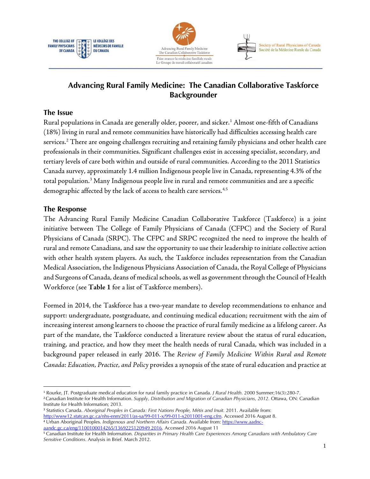





# **Advancing Rural Family Medicine: The Canadian Collaborative Taskforce Backgrounder**

## **The Issue**

Rural populations in Canada are generally older, poorer, and sicker.<sup>[1](#page-0-0)</sup> Almost one-fifth of Canadians (18%) living in rural and remote communities have historically had difficulties accessing health care services.[2](#page-0-1) There are ongoing challenges recruiting and retaining family physicians and other health care professionals in their communities. Significant challenges exist in accessing specialist, secondary, and tertiary levels of care both within and outside of rural communities. According to the 2011 Statistics Canada survey, approximately 1.4 million Indigenous people live in Canada, representing 4.3% of the total population.[3](#page-0-2) Many Indigenous people live in rural and remote communities and are a specific demographic affected by the lack of access to health care services.<sup>[4,](#page-0-3)[5](#page-0-4)</sup>

## **The Response**

The Advancing Rural Family Medicine Canadian Collaborative Taskforce (Taskforce) is a joint initiative between The College of Family Physicians of Canada (CFPC) and the Society of Rural Physicians of Canada (SRPC). The CFPC and SRPC recognized the need to improve the health of rural and remote Canadians, and saw the opportunity to use their leadership to initiate collective action with other health system players. As such, the Taskforce includes representation from the Canadian Medical Association, the Indigenous Physicians Association of Canada, the Royal College of Physicians and Surgeons of Canada, deans of medical schools, as well as government through the Council of Health Workforce (see **Table 1** for a list of Taskforce members).

Formed in 2014, the Taskforce has a two-year mandate to develop recommendations to enhance and support: undergraduate, postgraduate, and continuing medical education; recruitment with the aim of increasing interest among learners to choose the practice of rural family medicine as a lifelong career. As part of the mandate, the Taskforce conducted a literature review about the status of rural education, training, and practice, and how they meet the health needs of rural Canada, which was included in a background paper released in early 2016. The *Review of Family Medicine Within Rural and Remote Canada: Education, Practice, and Policy* provides a synopsis of the state of rural education and practice at

<span id="page-0-2"></span><sup>3</sup> Statistics Canada. *Aboriginal Peoples in Canada: First Nations People, Métis and Inuit.* 2011. Available from: [http://www12.statcan.gc.ca/nhs-enm/2011/as-sa/99-011-x/99-011-x2011001-eng.cfm.](http://www12.statcan.gc.ca/nhs-enm/2011/as-sa/99-011-x/99-011-x2011001-eng.cfm) Accessed 2016 August 8. <sup>4</sup> Urban Aboriginal Peoples. *Indigenous and Northern Affairs Canada.* Available from: [https://www.aadnc-](https://www.aadnc-aandc.gc.ca/eng/1100100014265/1369225120949%202016)

<span id="page-0-0"></span> <sup>1</sup> Rourke, JT. Postgraduate medical education for rural family practice in Canada*. J Rural Health*. 2000 Summer;16(3):280-7.

<span id="page-0-1"></span><sup>2</sup>Canadian Institute for Health Information. *Supply, Distribution and Migration of Canadian Physicians, 2012.* Ottawa, ON: Canadian Institute for Health Information; 2013.

<span id="page-0-3"></span>[aandc.gc.ca/eng/1100100014265/1369225120949 2016.](https://www.aadnc-aandc.gc.ca/eng/1100100014265/1369225120949%202016) Accessed 2016 August 11

<span id="page-0-4"></span><sup>5</sup> Canadian Institute for Health Information. *Disparities in Primary Health Care Experiences Among Canadians with Ambulatory Care Sensitive Conditions.* Analysis in Brief. March 2012.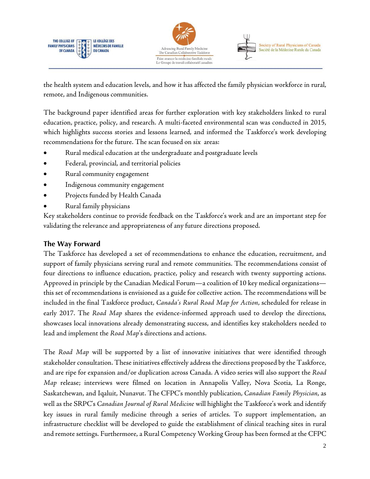



the health system and education levels, and how it has affected the family physician workforce in rural, remote, and Indigenous communities.

The background paper identified areas for further exploration with key stakeholders linked to rural education, practice, policy, and research. A multi-faceted environmental scan was conducted in 2015, which highlights success stories and lessons learned, and informed the Taskforce's work developing recommendations for the future. The scan focused on six areas:

- Rural medical education at the undergraduate and postgraduate levels
- Federal, provincial, and territorial policies
- Rural community engagement
- Indigenous community engagement
- Projects funded by Health Canada
- Rural family physicians

Key stakeholders continue to provide feedback on the Taskforce's work and are an important step for validating the relevance and appropriateness of any future directions proposed.

# **The Way Forward**

The Taskforce has developed a set of recommendations to enhance the education, recruitment, and support of family physicians serving rural and remote communities. The recommendations consist of four directions to influence education, practice, policy and research with twenty supporting actions. Approved in principle by the Canadian Medical Forum—a coalition of 10 key medical organizations this set of recommendations is envisioned as a guide for collective action. The recommendations will be included in the final Taskforce product, *Canada's Rural Road Map for Action*, scheduled for release in early 2017. The *Road Map* shares the evidence-informed approach used to develop the directions, showcases local innovations already demonstrating success, and identifies key stakeholders needed to lead and implement the *Road Map*'s directions and actions.

The *Road Map* will be supported by a list of innovative initiatives that were identified through stakeholder consultation. These initiatives effectively address the directions proposed by the Taskforce, and are ripe for expansion and/or duplication across Canada. A video series will also support the *Road Map* release; interviews were filmed on location in Annapolis Valley, Nova Scotia, La Ronge, Saskatchewan, and Iqaluit, Nunavut. The CFPC's monthly publication, *Canadian Family Physician*, as well as the SRPC's *Canadian Journal of Rural Medicine* will highlight the Taskforce's work and identify key issues in rural family medicine through a series of articles. To support implementation, an infrastructure checklist will be developed to guide the establishment of clinical teaching sites in rural and remote settings. Furthermore, a Rural Competency Working Group has been formed at the CFPC